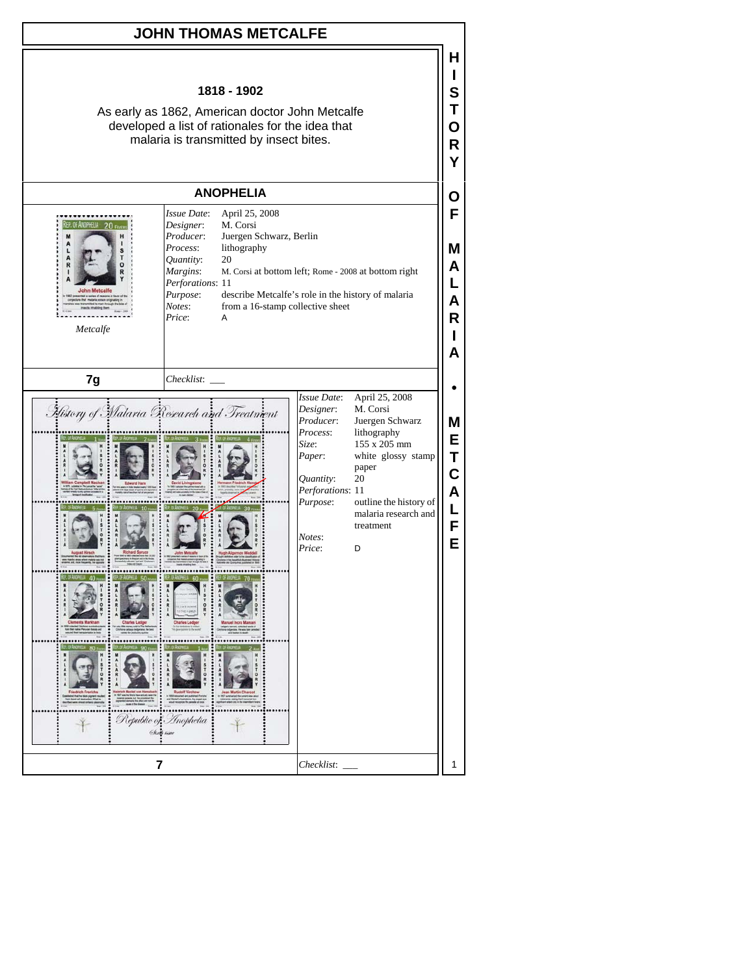